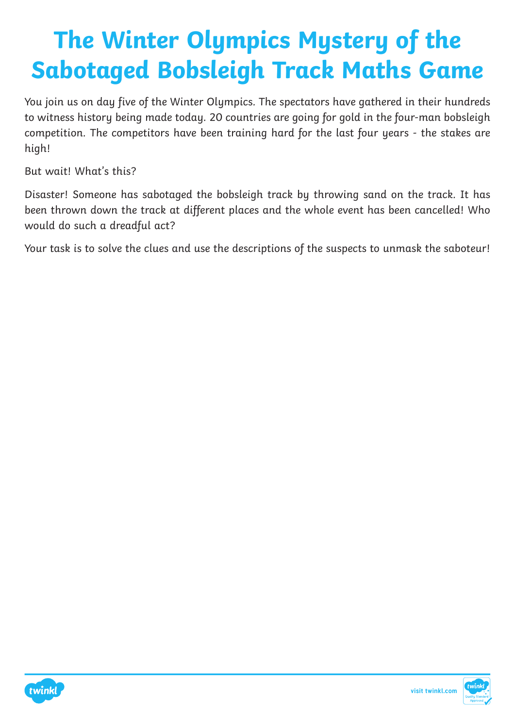# **The Winter Olympics Mystery of the Sabotaged Bobsleigh Track Maths Game**

You join us on day five of the Winter Olympics. The spectators have gathered in their hundreds to witness history being made today. 20 countries are going for gold in the four-man bobsleigh competition. The competitors have been training hard for the last four years - the stakes are high!

But wait! What's this?

Disaster! Someone has sabotaged the bobsleigh track by throwing sand on the track. It has been thrown down the track at different places and the whole event has been cancelled! Who would do such a dreadful act?

Your task is to solve the clues and use the descriptions of the suspects to unmask the saboteur!



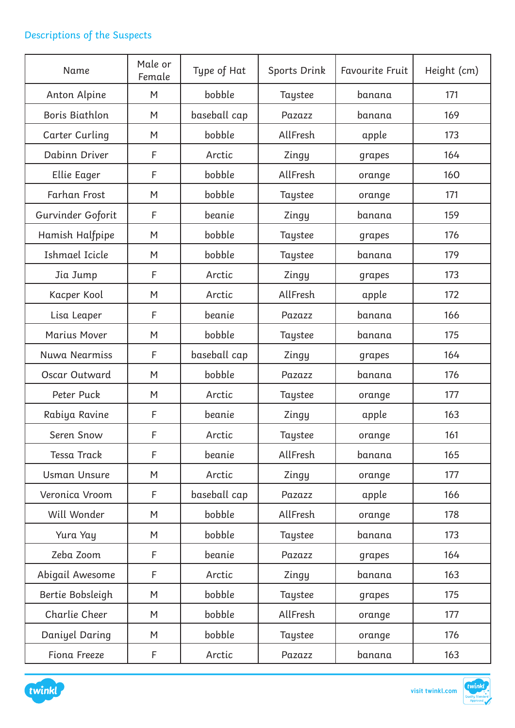# Descriptions of the Suspects

| Name                  | Male or<br>Female | Type of Hat  | Sports Drink | <b>Favourite Fruit</b> | Height (cm) |
|-----------------------|-------------------|--------------|--------------|------------------------|-------------|
| Anton Alpine          | bobble<br>M       |              | Taystee      | banana                 | 171         |
| <b>Boris Biathlon</b> | M                 | baseball cap | Pazazz       | banana                 | 169         |
| Carter Curling        | M                 | bobble       | AllFresh     | apple                  | 173         |
| Dabinn Driver         | F                 | Arctic       | Zingy        | grapes                 | 164         |
| Ellie Eager           | F                 | bobble       | AllFresh     | orange                 | 160         |
| <b>Farhan Frost</b>   | M                 | bobble       | Taystee      | orange                 | 171         |
| Gurvinder Goforit     | F                 | beanie       | Zingy        | banana                 | 159         |
| Hamish Halfpipe       | M                 | bobble       | Taystee      | grapes                 | 176         |
| Ishmael Icicle        | M                 | bobble       | Taystee      | banana                 | 179         |
| Jia Jump              | F                 | Arctic       | Zingy        | grapes                 | 173         |
| Kacper Kool           | M                 | Arctic       | AllFresh     | apple                  | 172         |
| Lisa Leaper           | F                 | beanie       | Pazazz       | banana                 | 166         |
| Marius Mover          | M                 | bobble       | Taystee      | banana                 | 175         |
| Nuwa Nearmiss         | F                 | baseball cap | Zingy        | grapes                 | 164         |
| Oscar Outward         | M                 | bobble       | Pazazz       | banana                 | 176         |
| Peter Puck            | M                 | Arctic       | Taystee      | orange                 | 177         |
| Rabiya Ravine         | F                 | beanie       | Zingy        | apple                  | 163         |
| Seren Snow            | F                 | Arctic       | Taystee      | orange                 | 161         |
| <b>Tessa Track</b>    | F                 | beanie       | AllFresh     | banana                 | 165         |
| <b>Usman Unsure</b>   | M                 | Arctic       | Zingy        | orange                 | 177         |
| Veronica Vroom        | F                 | baseball cap | Pazazz       | apple                  | 166         |
| Will Wonder           | M                 | bobble       | AllFresh     | orange                 | 178         |
| Yura Yay              | M                 | bobble       | Taystee      | banana                 | 173         |
| Zeba Zoom             | F                 | beanie       | Pazazz       | grapes                 | 164         |
| Abigail Awesome       | F                 | Arctic       | Zingy        | banana                 | 163         |
| Bertie Bobsleigh      | M                 | bobble       | Taystee      | grapes                 | 175         |
| Charlie Cheer         | M                 | bobble       | AllFresh     | orange                 | 177         |
| Daniyel Daring        | M                 | bobble       | Taystee      | orange                 | 176         |
| Fiona Freeze          | F                 | Arctic       | Pazazz       | banana                 | 163         |



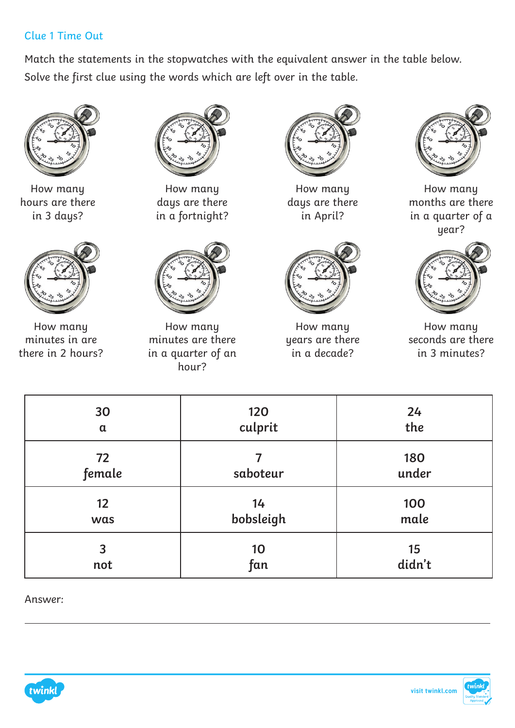#### Clue 1 Time Out

Match the statements in the stopwatches with the equivalent answer in the table below. Solve the first clue using the words which are left over in the table.



How many hours are there in 3 days?



How many minutes in are there in 2 hours?



How many days are there in a fortnight?



How many minutes are there in a quarter of an hour?



How many days are there in April?



How many years are there in a decade?



How many months are there in a quarter of a year?



How many seconds are there in 3 minutes?

| 30           | 120       | 24           |
|--------------|-----------|--------------|
| $\alpha$     | culprit   | the          |
| 72<br>female | saboteur  | 180<br>under |
| 12           | 14        | 100          |
| was          | bobsleigh | male         |
| 3            | 10        | 15           |
| not          | fan       | didn't       |

Answer:



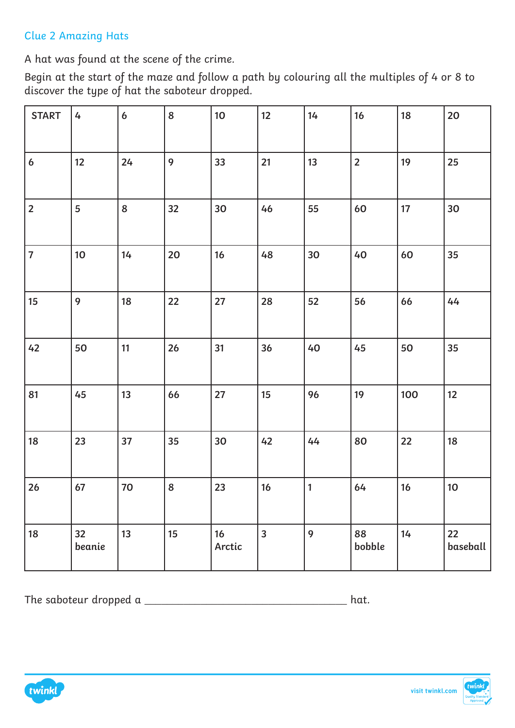# Clue 2 Amazing Hats

A hat was found at the scene of the crime.

Begin at the start of the maze and follow a path by colouring all the multiples of 4 or 8 to discover the type of hat the saboteur dropped.

| <b>START</b>     | 4            | $\boldsymbol{6}$ | 8  | 10 <sup>1</sup> | 12                      | 14           | 16             | 18  | 20             |
|------------------|--------------|------------------|----|-----------------|-------------------------|--------------|----------------|-----|----------------|
| $\boldsymbol{6}$ | 12           | 24               | 9  | 33              | 21                      | 13           | $\overline{2}$ | 19  | 25             |
| $\overline{2}$   | 5            | 8                | 32 | 30              | 46                      | 55           | 60             | 17  | 30             |
| $\overline{7}$   | 10           | 14               | 20 | 16              | 48                      | 30           | 40             | 60  | 35             |
| 15               | 9            | 18               | 22 | 27              | 28                      | 52           | 56             | 66  | 44             |
| 42               | 50           | 11               | 26 | 31              | 36                      | 40           | 45             | 50  | 35             |
| 81               | 45           | 13               | 66 | 27              | 15                      | 96           | 19             | 100 | 12             |
| 18               | 23           | 37               | 35 | 30              | 42                      | 44           | 80             | 22  | 18             |
| 26               | 67           | 70               | 8  | 23              | 16                      | $\mathbf{1}$ | 64             | 16  | 10             |
| 18               | 32<br>beanie | 13               | 15 | 16<br>Arctic    | $\overline{\mathbf{3}}$ | 9            | 88<br>bobble   | 14  | 22<br>baseball |

The saboteur dropped a  $\_\_$ 



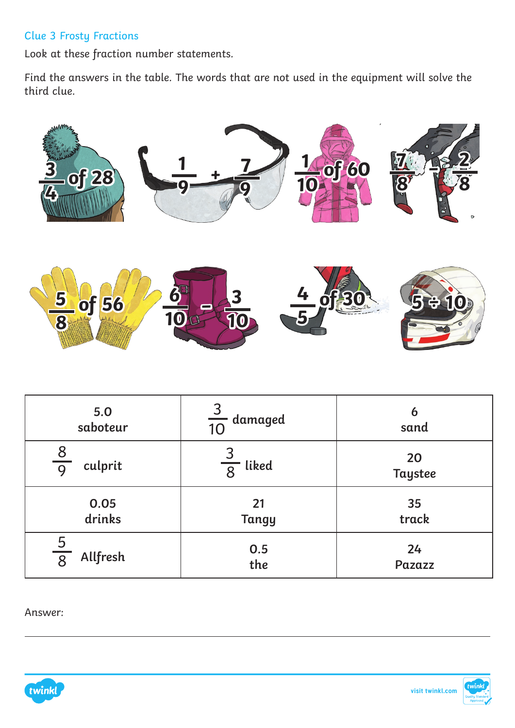### Clue 3 Frosty Fractions

Look at these fraction number statements.

Find the answers in the table. The words that are not used in the equipment will solve the third clue.



| 5.0           | $\overline{3}$         | 6              |
|---------------|------------------------|----------------|
| saboteur      | $\frac{1}{10}$ damaged | sand           |
| $rac{8}{9}$   | liked                  | 20             |
| culprit       | $\overline{8}$         | <b>Taystee</b> |
| 0.05          | 21                     | 35             |
| drinks        | <b>Tangy</b>           | track          |
| $\frac{5}{8}$ | 0.5                    | 24             |
| Allfresh      | the                    | Pazazz         |

Answer:



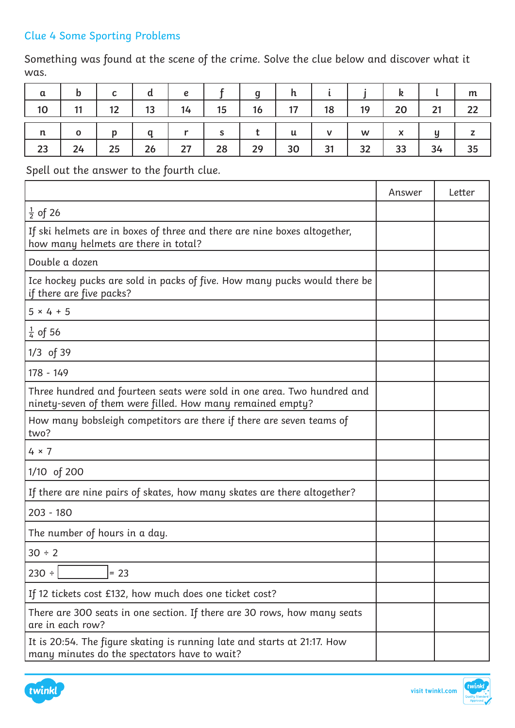# Clue 4 Some Sporting Problems

Something was found at the scene of the crime. Solve the clue below and discover what it was.

| $\alpha$    | b            | $\mathbf c$  | d  | $\pmb{e}$ |    |    |    |    |                                                                                       | k  |    | m            |
|-------------|--------------|--------------|----|-----------|----|----|----|----|---------------------------------------------------------------------------------------|----|----|--------------|
| $\vert$ 10  | 11           | 12           | 13 | 14        | 15 | 16 | 17 | 18 | 19                                                                                    | 20 | 21 | 22           |
| $\mathbf n$ | $\mathbf{o}$ | $\mathbf{D}$ | a  |           | S  |    | u  |    | $\mathsf{W}% _{T}=\mathsf{W}_{T}\!\left( a,b\right) ,\ \mathsf{W}_{T}=\mathsf{W}_{T}$ | X  | y  | $\mathsf{z}$ |
| 23          | 24           | 25           | 26 | 27        | 28 | 29 | 30 | 31 | 32                                                                                    | 33 | 34 | 35           |

Spell out the answer to the fourth clue.

|                                                                                                                                       | Answer | Letter |
|---------------------------------------------------------------------------------------------------------------------------------------|--------|--------|
| $\frac{1}{2}$ of 26                                                                                                                   |        |        |
| If ski helmets are in boxes of three and there are nine boxes altogether,<br>how many helmets are there in total?                     |        |        |
| Double a dozen                                                                                                                        |        |        |
| Ice hockey pucks are sold in packs of five. How many pucks would there be<br>if there are five packs?                                 |        |        |
| $5 × 4 + 5$                                                                                                                           |        |        |
| $\frac{1}{4}$ of 56                                                                                                                   |        |        |
| $1/3$ of 39                                                                                                                           |        |        |
| 178 - 149                                                                                                                             |        |        |
| Three hundred and fourteen seats were sold in one area. Two hundred and<br>ninety-seven of them were filled. How many remained empty? |        |        |
| How many bobsleigh competitors are there if there are seven teams of<br>two?                                                          |        |        |
| $4 \times 7$                                                                                                                          |        |        |
| 1/10 of 200                                                                                                                           |        |        |
| If there are nine pairs of skates, how many skates are there altogether?                                                              |        |        |
| $203 - 180$                                                                                                                           |        |        |
| The number of hours in a day.                                                                                                         |        |        |
| 30 ÷ 2                                                                                                                                |        |        |
| $230 \div$<br>$= 23$                                                                                                                  |        |        |
| If 12 tickets cost £132, how much does one ticket cost?                                                                               |        |        |
| There are 300 seats in one section. If there are 30 rows, how many seats<br>are in each row?                                          |        |        |
| It is 20:54. The figure skating is running late and starts at 21:17. How<br>many minutes do the spectators have to wait?              |        |        |



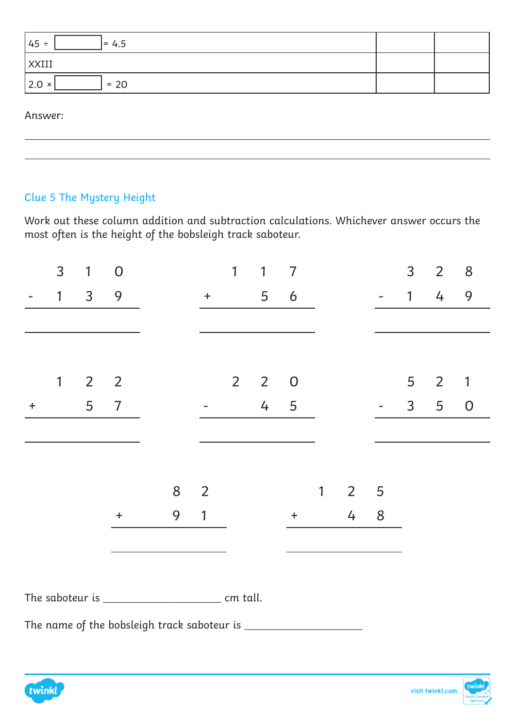| $= 4.5$<br>$ 45 \div$   |  |
|-------------------------|--|
| <b>XXIII</b>            |  |
| $= 20$<br>$ 2.0 \times$ |  |

Answer:

# Clue 5 The Mystery Height

Work out these column addition and subtraction calculations. Whichever answer occurs the most often is the height of the bobsleigh track saboteur.

|           | 3            | 1              | $\overline{0}$ |  |   |                | 1              | 1              | 7              |              |                |   | 3            | $\overline{2}$ | 8           |
|-----------|--------------|----------------|----------------|--|---|----------------|----------------|----------------|----------------|--------------|----------------|---|--------------|----------------|-------------|
|           | $\mathbf{1}$ | $\overline{3}$ | 9              |  |   | $+$ $-$        |                | 5              | 6              |              |                |   | 1            | 4              | 9           |
|           |              |                |                |  |   |                |                |                |                |              |                |   |              |                |             |
|           |              |                |                |  |   |                |                |                |                |              |                |   |              |                |             |
|           | 1            | $\overline{2}$ | $\overline{2}$ |  |   |                | 2 <sup>1</sup> | $\overline{2}$ | $\overline{0}$ |              |                |   | 5            | $\overline{2}$ | 1           |
| $\ddot{}$ |              | 5              | $\overline{7}$ |  |   |                |                | $\overline{4}$ | $\overline{5}$ |              |                |   | $\mathsf{3}$ | 5              | $\mathbf 0$ |
|           |              |                |                |  |   |                |                |                |                |              |                |   |              |                |             |
|           |              |                |                |  |   |                |                |                |                |              |                |   |              |                |             |
|           |              |                |                |  | 8 | $\overline{2}$ |                |                |                | $\mathbf{1}$ | $\overline{2}$ | 5 |              |                |             |
|           |              |                | $\ddot{}$      |  | 9 | 1              |                |                | $\pm$          |              | 4              | 8 |              |                |             |
|           |              |                |                |  |   |                |                |                |                |              |                |   |              |                |             |
|           |              |                |                |  |   |                |                |                |                |              |                |   |              |                |             |
|           |              |                |                |  |   |                |                |                |                |              |                |   |              |                |             |
|           |              |                |                |  |   |                |                |                |                |              |                |   |              |                |             |

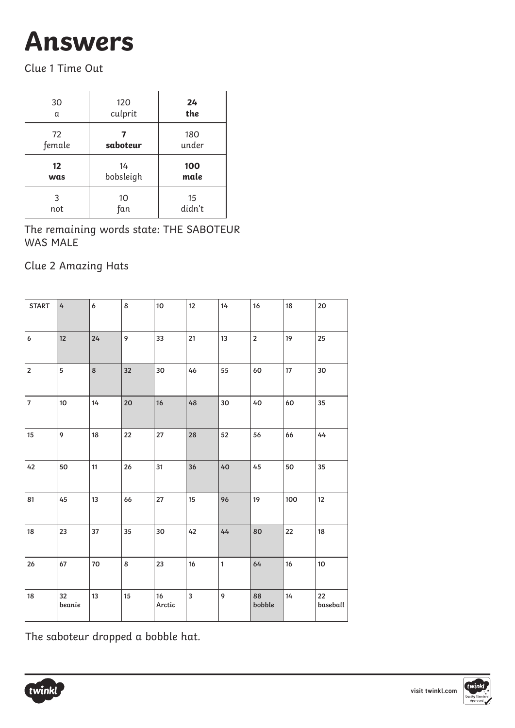# **Answers**

Clue 1 Time Out

| 30                | 120       | 24           |
|-------------------|-----------|--------------|
| α                 | culprit   | the          |
| 72<br>female      | saboteur  | 180<br>under |
|                   |           |              |
| $12 \overline{ }$ | 14        | 100          |
| was               | bobsleigh | male         |

The remaining words state: THE SABOTEUR WAS MALE

Clue 2 Amazing Hats

| <b>START</b>   | $\mathbf{4}$ | 6       | 8  | 10 <sup>10</sup> | 12     | 14           | 16             | 18     | 20             |
|----------------|--------------|---------|----|------------------|--------|--------------|----------------|--------|----------------|
| 6              | 12           | 24      | 9  | 33               | 21     | 13           | $\overline{2}$ | 19     | 25             |
| $\overline{2}$ | 5            | $\bf 8$ | 32 | 30               | 46     | 55           | 60             | $17\,$ | 30             |
| $\bf 7$        | 10           | 14      | 20 | 16               | $48\,$ | 30           | 40             | 60     | 35             |
| 15             | 9            | 18      | 22 | 27               | 28     | 52           | 56             | 66     | 44             |
| 42             | 50           | 11      | 26 | 31               | 36     | 40           | 45             | 50     | 35             |
| 81             | 45           | 13      | 66 | 27               | 15     | 96           | 19             | 100    | $12\,$         |
| 18             | 23           | 37      | 35 | 30               | 42     | 44           | 80             | 22     | 18             |
| 26             | 67           | 70      | 8  | 23               | 16     | $\mathbf{1}$ | 64             | 16     | $10\,$         |
| 18             | 32<br>beanie | 13      | 15 | 16<br>Arctic     | 3      | 9            | 88<br>bobble   | 14     | 22<br>baseball |

The saboteur dropped a bobble hat.